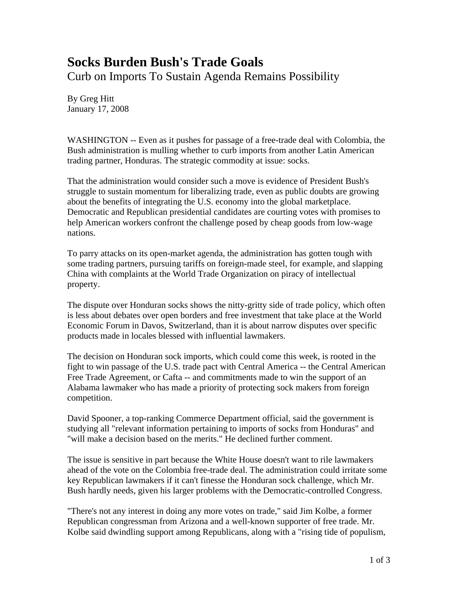## **Socks Burden Bush's Trade Goals**

Curb on Imports To Sustain Agenda Remains Possibility

By Greg Hitt January 17, 2008

WASHINGTON -- Even as it pushes for passage of a free-trade deal with Colombia, the Bush administration is mulling whether to curb imports from another Latin American trading partner, Honduras. The strategic commodity at issue: socks.

That the administration would consider such a move is evidence of President Bush's struggle to sustain momentum for liberalizing trade, even as public doubts are growing about the benefits of integrating the U.S. economy into the global marketplace. Democratic and Republican presidential candidates are courting votes with promises to help American workers confront the challenge posed by cheap goods from low-wage nations.

To parry attacks on its open-market agenda, the administration has gotten tough with some trading partners, pursuing tariffs on foreign-made steel, for example, and slapping China with complaints at the World Trade Organization on piracy of intellectual property.

The dispute over Honduran socks shows the nitty-gritty side of trade policy, which often is less about debates over open borders and free investment that take place at the World Economic Forum in Davos, Switzerland, than it is about narrow disputes over specific products made in locales blessed with influential lawmakers.

The decision on Honduran sock imports, which could come this week, is rooted in the fight to win passage of the U.S. trade pact with Central America -- the Central American Free Trade Agreement, or Cafta -- and commitments made to win the support of an Alabama lawmaker who has made a priority of protecting sock makers from foreign competition.

David Spooner, a top-ranking Commerce Department official, said the government is studying all "relevant information pertaining to imports of socks from Honduras" and "will make a decision based on the merits." He declined further comment.

The issue is sensitive in part because the White House doesn't want to rile lawmakers ahead of the vote on the Colombia free-trade deal. The administration could irritate some key Republican lawmakers if it can't finesse the Honduran sock challenge, which Mr. Bush hardly needs, given his larger problems with the Democratic-controlled Congress.

"There's not any interest in doing any more votes on trade," said Jim Kolbe, a former Republican congressman from Arizona and a well-known supporter of free trade. Mr. Kolbe said dwindling support among Republicans, along with a "rising tide of populism,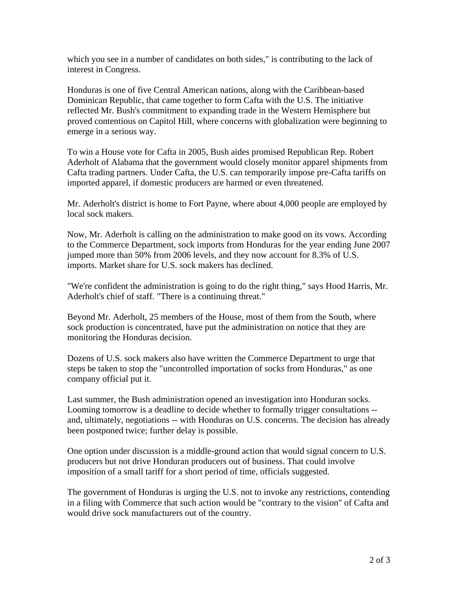which you see in a number of candidates on both sides," is contributing to the lack of interest in Congress.

Honduras is one of five Central American nations, along with the Caribbean-based Dominican Republic, that came together to form Cafta with the U.S. The initiative reflected Mr. Bush's commitment to expanding trade in the Western Hemisphere but proved contentious on Capitol Hill, where concerns with globalization were beginning to emerge in a serious way.

To win a House vote for Cafta in 2005, Bush aides promised Republican Rep. Robert Aderholt of Alabama that the government would closely monitor apparel shipments from Cafta trading partners. Under Cafta, the U.S. can temporarily impose pre-Cafta tariffs on imported apparel, if domestic producers are harmed or even threatened.

Mr. Aderholt's district is home to Fort Payne, where about 4,000 people are employed by local sock makers.

Now, Mr. Aderholt is calling on the administration to make good on its vows. According to the Commerce Department, sock imports from Honduras for the year ending June 2007 jumped more than 50% from 2006 levels, and they now account for 8.3% of U.S. imports. Market share for U.S. sock makers has declined.

"We're confident the administration is going to do the right thing," says Hood Harris, Mr. Aderholt's chief of staff. "There is a continuing threat."

Beyond Mr. Aderholt, 25 members of the House, most of them from the South, where sock production is concentrated, have put the administration on notice that they are monitoring the Honduras decision.

Dozens of U.S. sock makers also have written the Commerce Department to urge that steps be taken to stop the "uncontrolled importation of socks from Honduras," as one company official put it.

Last summer, the Bush administration opened an investigation into Honduran socks. Looming tomorrow is a deadline to decide whether to formally trigger consultations - and, ultimately, negotiations -- with Honduras on U.S. concerns. The decision has already been postponed twice; further delay is possible.

One option under discussion is a middle-ground action that would signal concern to U.S. producers but not drive Honduran producers out of business. That could involve imposition of a small tariff for a short period of time, officials suggested.

The government of Honduras is urging the U.S. not to invoke any restrictions, contending in a filing with Commerce that such action would be "contrary to the vision" of Cafta and would drive sock manufacturers out of the country.